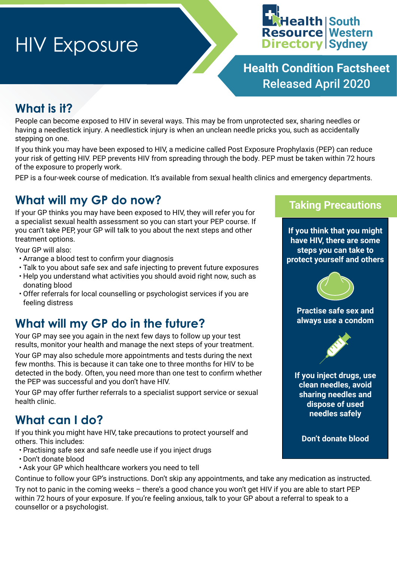# HIV Exposure



**Health Condition Factsheet** Released April 2020

## **What is it?**

People can become exposed to HIV in several ways. This may be from unprotected sex, sharing needles or having a needlestick injury. A needlestick injury is when an unclean needle pricks you, such as accidentally stepping on one.

If you think you may have been exposed to HIV, a medicine called Post Exposure Prophylaxis (PEP) can reduce your risk of getting HIV. PEP prevents HIV from spreading through the body. PEP must be taken within 72 hours of the exposure to properly work.

PEP is a four-week course of medication. It's available from sexual health clinics and emergency departments.

# **What will my GP do now?**

If your GP thinks you may have been exposed to HIV, they will refer you for a specialist sexual health assessment so you can start your PEP course. If you can't take PEP, your GP will talk to you about the next steps and other treatment options.

Your GP will also:

- Arrange a blood test to confirm your diagnosis
- Talk to you about safe sex and safe injecting to prevent future exposures
- Help you understand what activities you should avoid right now, such as donating blood
- Offer referrals for local counselling or psychologist services if you are feeling distress

# **What will my GP do in the future?**

Your GP may see you again in the next few days to follow up your test results, monitor your health and manage the next steps of your treatment.

Your GP may also schedule more appointments and tests during the next few months. This is because it can take one to three months for HIV to be detected in the body. Often, you need more than one test to confirm whether the PEP was successful and you don't have HIV.

Your GP may offer further referrals to a specialist support service or sexual health clinic.

## **What can I do?**

If you think you might have HIV, take precautions to protect yourself and others. This includes:

- Practising safe sex and safe needle use if you inject drugs
- Don't donate blood
- Ask your GP which healthcare workers you need to tell

Continue to follow your GP's instructions. Don't skip any appointments, and take any medication as instructed.

Try not to panic in the coming weeks – there's a good chance you won't get HIV if you are able to start PEP within 72 hours of your exposure. If you're feeling anxious, talk to your GP about a referral to speak to a counsellor or a psychologist.

#### **Taking Precautions**

**If you think that you might have HIV, there are some steps you can take to protect yourself and others**



**Practise safe sex and always use a condom**



**If you inject drugs, use clean needles, avoid sharing needles and dispose of used needles safely**

**Don't donate blood**